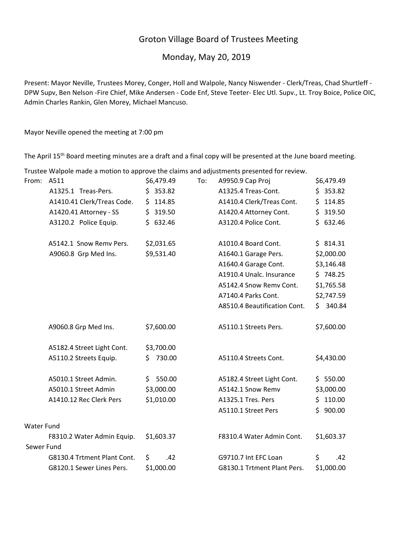# Groton Village Board of Trustees Meeting

## Monday, May 20, 2019

Present: Mayor Neville, Trustees Morey, Conger, Holl and Walpole, Nancy Niswender ‐ Clerk/Treas, Chad Shurtleff ‐ DPW Supv, Ben Nelson ‐Fire Chief, Mike Andersen ‐ Code Enf, Steve Teeter‐ Elec Utl. Supv., Lt. Troy Boice, Police OIC, Admin Charles Rankin, Glen Morey, Michael Mancuso.

Mayor Neville opened the meeting at 7:00 pm

The April 15<sup>th</sup> Board meeting minutes are a draft and a final copy will be presented at the June board meeting.

Trustee Walpole made a motion to approve the claims and adjustments presented for review. From: A511 \$6,479.49 To: A9950.9 Cap Proj \$6,479.49 A1325.1 Treas‐Pers. \$ 353.82 A1325.4 Treas‐Cont. \$ 353.82 A1410.41 Clerk/Treas Code. \$ 114.85 A1410.4 Clerk/Treas Cont. \$ 114.85 A1420.41 Attorney ‐ SS \$ 319.50 A1420.4 Attorney Cont. \$ 319.50 A3120.2 Police Equip. \$ 632.46 A3120.4 Police Cont. \$ 632.46 A5142.1 Snow Remv Pers. \$2,031.65 A1010.4 Board Cont. \$ 814.31 A9060.8 Grp Med Ins. \$9,531.40 A1640.1 Garage Pers. \$2,000.00 A1640.4 Garage Cont. \$3,146.48 A1910.4 Unalc. Insurance  $\frac{1}{5}$  748.25 A5142.4 Snow Remv Cont. \$1,765.58 A7140.4 Parks Cont. \$2,747.59 A8510.4 Beautification Cont. \$ 340.84 A9060.8 Grp Med Ins. \$7,600.00 A5110.1 Streets Pers. \$7,600.00 A5182.4 Street Light Cont. \$3,700.00 A5110.2 Streets Equip. \$ 730.00 A5110.4 Streets Cont. \$4,430.00 A5010.1 Street Admin. \$ 550.00 A5182.4 Street Light Cont. \$ 550.00 A5010.1 Street Admin \$3,000.00 A5142.1 Snow Remv \$3,000.00 A1410.12 Rec Clerk Pers \$1,010.00 A1325.1 Tres. Pers \$ 110.00 A5110.1 Street Pers \$ 900.00 Water Fund F8310.2 Water Admin Equip. \$1,603.37 F8310.4 Water Admin Cont. \$1,603.37 Sewer Fund

> G8130.4 Trtment Plant Cont. \$ .42 G9710.7 Int EFC Loan \$ .42 G8120.1 Sewer Lines Pers. \$1,000.00 G8130.1 Trtment Plant Pers. \$1,000.00

| ewer Fund                   |     |            |  |
|-----------------------------|-----|------------|--|
| G8130.4 Trtment Plant Cont. | - S |            |  |
| G8120.1 Sewer Lines Pers.   |     | \$1,000.00 |  |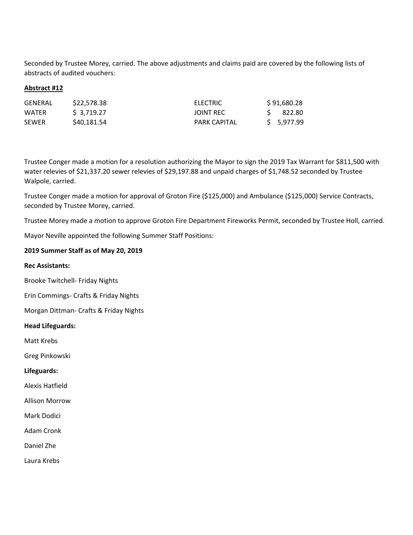Seconded by Trustee Morey, carried. The above adjustments and claims paid are covered by the following lists of abstracts of audited vouchers:

## **Abstract #12**

| GENERAL      | \$22,578.38 | <b>ELECTRIC</b>     | \$91,680.28 |
|--------------|-------------|---------------------|-------------|
| WATER        | \$ 3,719.27 | <b>JOINT REC</b>    | 822.80      |
| <b>SEWER</b> | \$40,181.54 | <b>PARK CAPITAL</b> | \$ 5,977.99 |

Trustee Conger made a motion for a resolution authorizing the Mayor to sign the 2019 Tax Warrant for \$811,500 with water relevies of \$21,337.20 sewer relevies of \$29,197.88 and unpaid charges of \$1,748.52 seconded by Trustee Walpole, carried.

Trustee Conger made a motion for approval of Groton Fire (\$125,000) and Ambulance (\$125,000) Service Contracts, seconded by Trustee Morey, carried.

Trustee Morey made a motion to approve Groton Fire Department Fireworks Permit, seconded by Trustee Holl, carried.

Mayor Neville appointed the following Summer Staff Positions:

## **2019 Summer Staff as of May 20, 2019**

## **Rec Assistants:**

Brooke Twitchell‐ Friday Nights

Erin Commings‐ Crafts & Friday Nights

Morgan Dittman‐ Crafts & Friday Nights

## **Head Lifeguards:**

Matt Krebs

Greg Pinkowski

## **Lifeguards:**

Alexis Hatfield

Allison Morrow

Mark Dodici

Adam Cronk

Daniel Zhe

Laura Krebs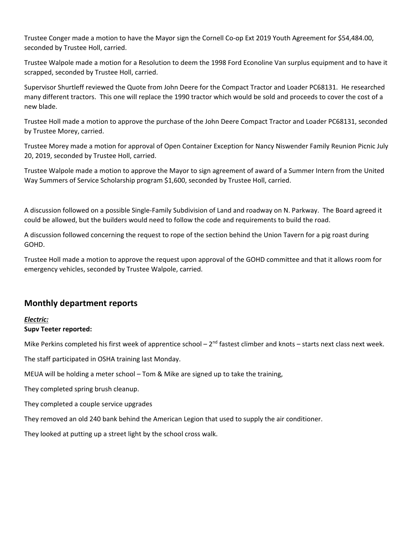Trustee Conger made a motion to have the Mayor sign the Cornell Co‐op Ext 2019 Youth Agreement for \$54,484.00, seconded by Trustee Holl, carried.

Trustee Walpole made a motion for a Resolution to deem the 1998 Ford Econoline Van surplus equipment and to have it scrapped, seconded by Trustee Holl, carried.

Supervisor Shurtleff reviewed the Quote from John Deere for the Compact Tractor and Loader PC68131. He researched many different tractors. This one will replace the 1990 tractor which would be sold and proceeds to cover the cost of a new blade.

Trustee Holl made a motion to approve the purchase of the John Deere Compact Tractor and Loader PC68131, seconded by Trustee Morey, carried.

Trustee Morey made a motion for approval of Open Container Exception for Nancy Niswender Family Reunion Picnic July 20, 2019, seconded by Trustee Holl, carried.

Trustee Walpole made a motion to approve the Mayor to sign agreement of award of a Summer Intern from the United Way Summers of Service Scholarship program \$1,600, seconded by Trustee Holl, carried.

A discussion followed on a possible Single‐Family Subdivision of Land and roadway on N. Parkway. The Board agreed it could be allowed, but the builders would need to follow the code and requirements to build the road.

A discussion followed concerning the request to rope of the section behind the Union Tavern for a pig roast during GOHD.

Trustee Holl made a motion to approve the request upon approval of the GOHD committee and that it allows room for emergency vehicles, seconded by Trustee Walpole, carried.

# **Monthly department reports**

## *Electric:*

## **Supv Teeter reported:**

Mike Perkins completed his first week of apprentice school –  $2^{nd}$  fastest climber and knots – starts next class next week.

The staff participated in OSHA training last Monday.

MEUA will be holding a meter school – Tom & Mike are signed up to take the training,

They completed spring brush cleanup.

They completed a couple service upgrades

They removed an old 240 bank behind the American Legion that used to supply the air conditioner.

They looked at putting up a street light by the school cross walk.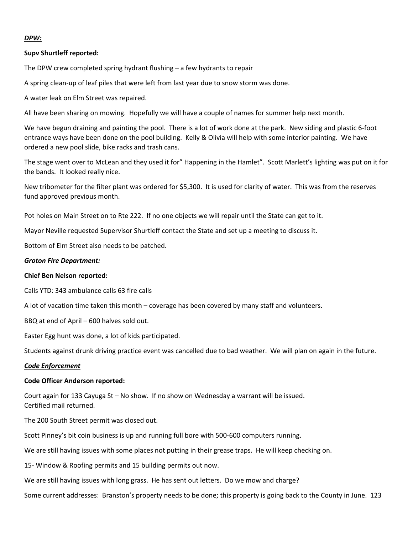## *DPW:*

#### **Supv Shurtleff reported:**

The DPW crew completed spring hydrant flushing – a few hydrants to repair

A spring clean‐up of leaf piles that were left from last year due to snow storm was done.

A water leak on Elm Street was repaired.

All have been sharing on mowing. Hopefully we will have a couple of names for summer help next month.

We have begun draining and painting the pool. There is a lot of work done at the park. New siding and plastic 6‐foot entrance ways have been done on the pool building. Kelly & Olivia will help with some interior painting. We have ordered a new pool slide, bike racks and trash cans.

The stage went over to McLean and they used it for" Happening in the Hamlet". Scott Marlett's lighting was put on it for the bands. It looked really nice.

New tribometer for the filter plant was ordered for \$5,300. It is used for clarity of water. This was from the reserves fund approved previous month.

Pot holes on Main Street on to Rte 222. If no one objects we will repair until the State can get to it.

Mayor Neville requested Supervisor Shurtleff contact the State and set up a meeting to discuss it.

Bottom of Elm Street also needs to be patched.

### *Groton Fire Department:*

#### **Chief Ben Nelson reported:**

Calls YTD: 343 ambulance calls 63 fire calls

A lot of vacation time taken this month – coverage has been covered by many staff and volunteers.

BBQ at end of April – 600 halves sold out.

Easter Egg hunt was done, a lot of kids participated.

Students against drunk driving practice event was cancelled due to bad weather. We will plan on again in the future.

#### *Code Enforcement*

#### **Code Officer Anderson reported:**

Court again for 133 Cayuga St – No show. If no show on Wednesday a warrant will be issued. Certified mail returned.

The 200 South Street permit was closed out.

Scott Pinney's bit coin business is up and running full bore with 500‐600 computers running.

We are still having issues with some places not putting in their grease traps. He will keep checking on.

15‐ Window & Roofing permits and 15 building permits out now.

We are still having issues with long grass. He has sent out letters. Do we mow and charge?

Some current addresses: Branston's property needs to be done; this property is going back to the County in June. 123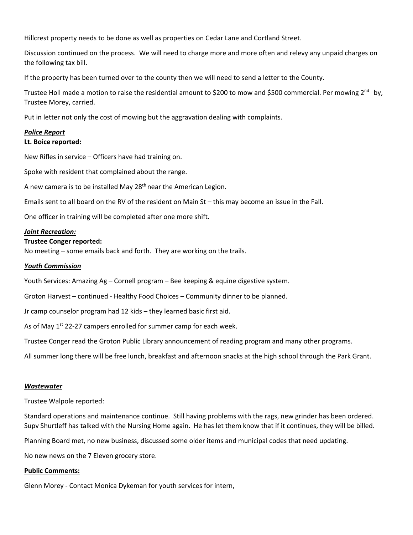Hillcrest property needs to be done as well as properties on Cedar Lane and Cortland Street.

Discussion continued on the process. We will need to charge more and more often and relevy any unpaid charges on the following tax bill.

If the property has been turned over to the county then we will need to send a letter to the County.

Trustee Holl made a motion to raise the residential amount to \$200 to mow and \$500 commercial. Per mowing  $2^{nd}$  by, Trustee Morey, carried.

Put in letter not only the cost of mowing but the aggravation dealing with complaints.

## *Police Report*

### **Lt. Boice reported:**

New Rifles in service – Officers have had training on.

Spoke with resident that complained about the range.

A new camera is to be installed May  $28<sup>th</sup>$  near the American Legion.

Emails sent to all board on the RV of the resident on Main St – this may become an issue in the Fall.

One officer in training will be completed after one more shift.

#### *Joint Recreation:*

#### **Trustee Conger reported:**

No meeting – some emails back and forth. They are working on the trails.

#### *Youth Commission*

Youth Services: Amazing Ag – Cornell program – Bee keeping & equine digestive system.

Groton Harvest – continued ‐ Healthy Food Choices – Community dinner to be planned.

Jr camp counselor program had 12 kids – they learned basic first aid.

As of May  $1^{st}$  22-27 campers enrolled for summer camp for each week.

Trustee Conger read the Groton Public Library announcement of reading program and many other programs.

All summer long there will be free lunch, breakfast and afternoon snacks at the high school through the Park Grant.

#### *Wastewater*

Trustee Walpole reported:

Standard operations and maintenance continue. Still having problems with the rags, new grinder has been ordered. Supv Shurtleff has talked with the Nursing Home again. He has let them know that if it continues, they will be billed.

Planning Board met, no new business, discussed some older items and municipal codes that need updating.

No new news on the 7 Eleven grocery store.

#### **Public Comments:**

Glenn Morey ‐ Contact Monica Dykeman for youth services for intern,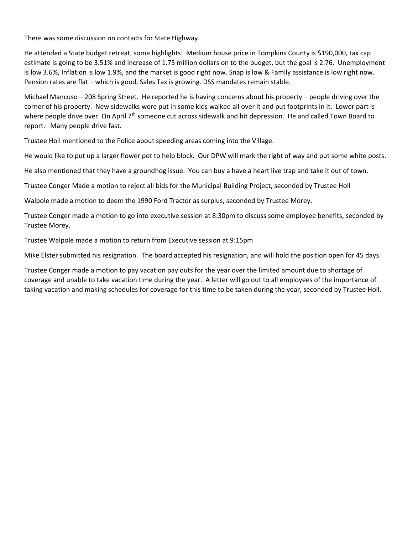There was some discussion on contacts for State Highway.

He attended a State budget retreat, some highlights: Medium house price in Tompkins County is \$190,000, tax cap estimate is going to be 3.51% and increase of 1.75 million dollars on to the budget, but the goal is 2.76. Unemployment is low 3.6%, Inflation is low 1.9%, and the market is good right now. Snap is low & Family assistance is low right now. Pension rates are flat – which is good, Sales Tax is growing. DSS mandates remain stable.

Michael Mancuso – 208 Spring Street. He reported he is having concerns about his property – people driving over the corner of his property. New sidewalks were put in some kids walked all over it and put footprints in it. Lower part is where people drive over. On April  $7<sup>th</sup>$  someone cut across sidewalk and hit depression. He and called Town Board to report. Many people drive fast.

Trustee Holl mentioned to the Police about speeding areas coming into the Village.

He would like to put up a larger flower pot to help block. Our DPW will mark the right of way and put some white posts.

He also mentioned that they have a groundhog issue. You can buy a have a heart live trap and take it out of town.

Trustee Conger Made a motion to reject all bids for the Municipal Building Project, seconded by Trustee Holl

Walpole made a motion to deem the 1990 Ford Tractor as surplus, seconded by Trustee Morey.

Trustee Conger made a motion to go into executive session at 8:30pm to discuss some employee benefits, seconded by Trustee Morey.

Trustee Walpole made a motion to return from Executive session at 9:15pm

Mike Elster submitted his resignation. The board accepted his resignation, and will hold the position open for 45 days.

Trustee Conger made a motion to pay vacation pay outs for the year over the limited amount due to shortage of coverage and unable to take vacation time during the year. A letter will go out to all employees of the importance of taking vacation and making schedules for coverage for this time to be taken during the year, seconded by Trustee Holl.